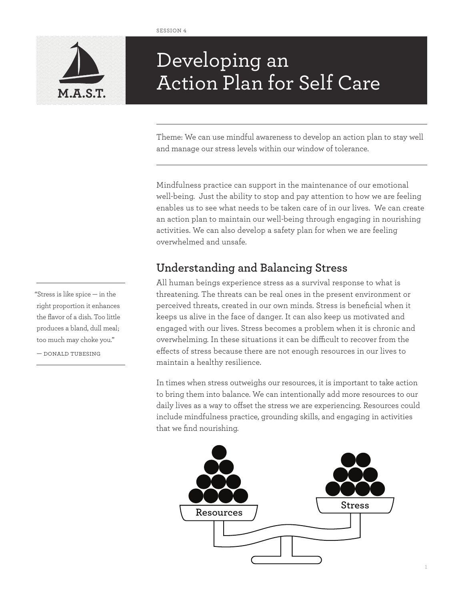

# Developing an Action Plan for Self Care **M.A.S.T.**

Theme: We can use mindful awareness to develop an action plan to stay well and manage our stress levels within our window of tolerance.

Mindfulness practice can support in the maintenance of our emotional well-being. Just the ability to stop and pay attention to how we are feeling enables us to see what needs to be taken care of in our lives. We can create an action plan to maintain our well-being through engaging in nourishing activities. We can also develop a safety plan for when we are feeling overwhelmed and unsafe.

## **Understanding and Balancing Stress**

All human beings experience stress as a survival response to what is threatening. The threats can be real ones in the present environment or perceived threats, created in our own minds. Stress is beneficial when it keeps us alive in the face of danger. It can also keep us motivated and engaged with our lives. Stress becomes a problem when it is chronic and overwhelming. In these situations it can be difficult to recover from the effects of stress because there are not enough resources in our lives to maintain a healthy resilience.

In times when stress outweighs our resources, it is important to take action to bring them into balance. We can intentionally add more resources to our daily lives as a way to offset the stress we are experiencing. Resources could include mindfulness practice, grounding skills, and engaging in activities that we find nourishing.



"Stress is like spice — in the right proportion it enhances the flavor of a dish. Too little produces a bland, dull meal; too much may choke you."

— donald tubesing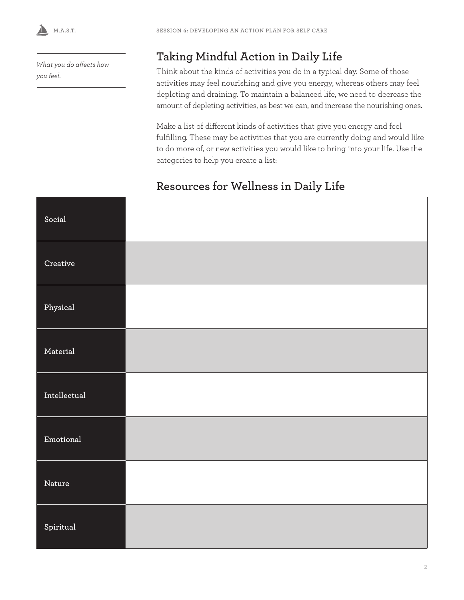**M.A.S.T.** 

*What you do affects how you feel.*

## **Taking Mindful Action in Daily Life**

Think about the kinds of activities you do in a typical day. Some of those activities may feel nourishing and give you energy, whereas others may feel depleting and draining. To maintain a balanced life, we need to decrease the amount of depleting activities, as best we can, and increase the nourishing ones.

Make a list of different kinds of activities that give you energy and feel fulfilling. These may be activities that you are currently doing and would like to do more of, or new activities you would like to bring into your life. Use the categories to help you create a list:

## **Resources for Wellness in Daily Life**